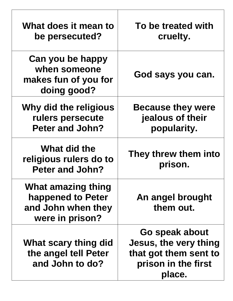| What does it mean to<br>be persecuted?                                           | To be treated with<br>cruelty.                                                                           |
|----------------------------------------------------------------------------------|----------------------------------------------------------------------------------------------------------|
| Can you be happy<br>when someone<br>makes fun of you for<br>doing good?          | God says you can.                                                                                        |
| Why did the religious<br>rulers persecute<br>Peter and John?                     | <b>Because they were</b><br>jealous of their<br>popularity.                                              |
| What did the<br>religious rulers do to<br><b>Peter and John?</b>                 | They threw them into<br>prison.                                                                          |
| What amazing thing<br>happened to Peter<br>and John when they<br>were in prison? | An angel brought<br>them out.                                                                            |
| What scary thing did<br>the angel tell Peter<br>and John to do?                  | Go speak about<br><b>Jesus, the very thing</b><br>that got them sent to<br>prison in the first<br>place. |

 $\overline{\Gamma}$